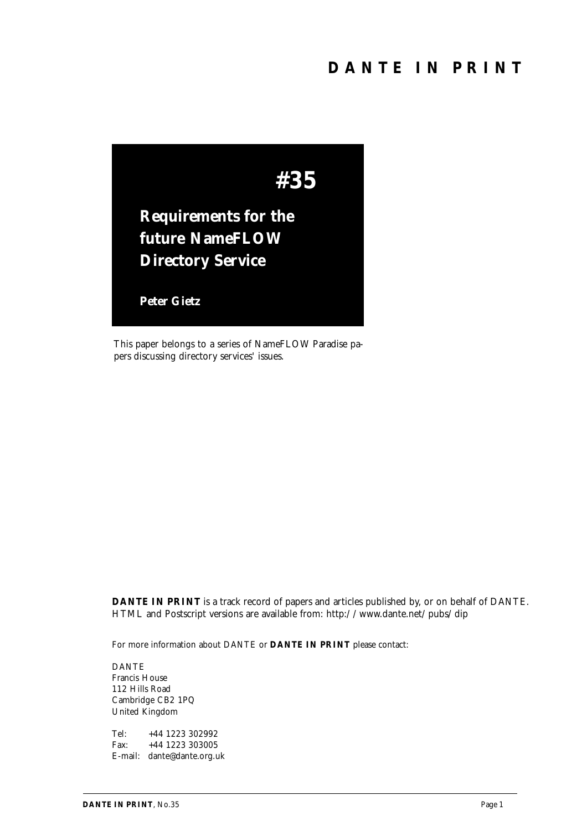

This paper belongs to a series of NameFLOW Paradise papers discussing directory services' issues.

*DANTE IN PRINT* is a track record of papers and articles published by, or on behalf of DANTE. HTML and Postscript versions are available from: http://www.dante.net/pubs/dip

For more information about DANTE or *DANTE IN PRINT* please contact:

DANTE Francis House 112 Hills Road Cambridge CB2 1PQ United Kingdom

Tel: +44 1223 302992 Fax: +44 1223 303005 E-mail: dante@dante.org.uk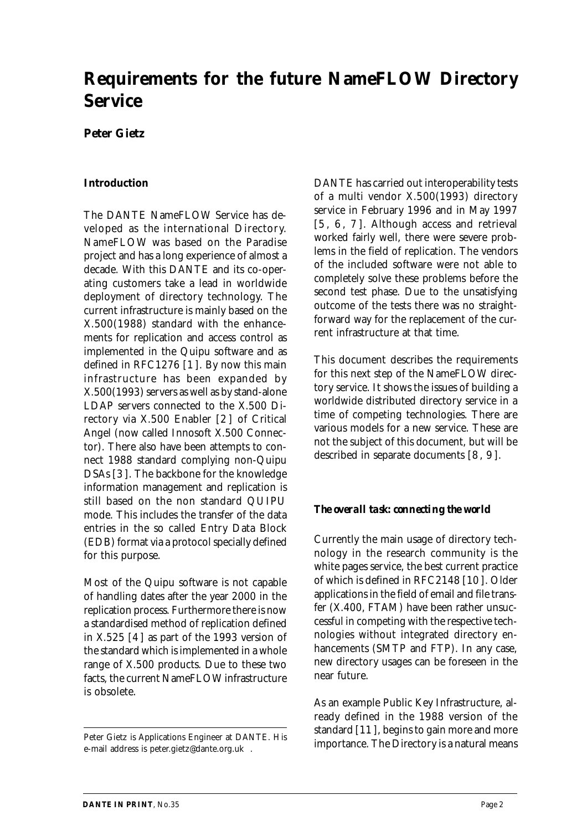# **Requirements for the future NameFLOW Directory Service**

#### **Peter Gietz**

#### **Introduction**

The DANTE NameFLOW Service has developed as *the* international Directory. NameFLOW was based on the Paradise project and has a long experience of almost a decade. With this DANTE and its co-operating customers take a lead in worldwide deployment of directory technology. The current infrastructure is mainly based on the X.500(1988) standard with the enhancements for replication and access control as implemented in the Quipu software and as defined in RFC1276 [1 ]. By now this main infrastructure has been expanded by X.500(1993) servers as well as by stand-alone LDAP servers connected to the X.500 Directory via X.500 Enabler [2 ] of Critical Angel (now called Innosoft X.500 Connector). There also have been attempts to connect 1988 standard complying non-Quipu DSAs [3 ]. The backbone for the knowledge information management and replication is still based on the non standard QUIPU mode. This includes the transfer of the data entries in the so called Entry Data Block (EDB) format via a protocol specially defined for this purpose.

Most of the Quipu software is not capable of handling dates after the year 2000 in the replication process. Furthermore there is now a standardised method of replication defined in X.525 [4 ] as part of the 1993 version of the standard which is implemented in a whole range of X.500 products. Due to these two facts, the current NameFLOW infrastructure is obsolete.

DANTE has carried out interoperability tests of a multi vendor X.500(1993) directory service in February 1996 and in May 1997 [5, 6, 7]. Although access and retrieval worked fairly well, there were severe problems in the field of replication. The vendors of the included software were not able to completely solve these problems before the second test phase. Due to the unsatisfying outcome of the tests there was no straightforward way for the replacement of the current infrastructure at that time.

This document describes the requirements for this next step of the NameFLOW directory service. It shows the issues of building a worldwide distributed directory service in a time of competing technologies. There are various models for a new service. These are not the subject of this document, but will be described in separate documents [8 , 9 ].

#### *The overall task: connecting the world*

Currently the main usage of directory technology in the research community is the white pages service, the best current practice of which is defined in RFC2148 [10 ]. Older applications in the field of email and file transfer (X.400, FTAM) have been rather unsuccessful in competing with the respective technologies without integrated directory enhancements (SMTP and FTP). In any case, new directory usages can be foreseen in the near future.

As an example Public Key Infrastructure, already defined in the 1988 version of the standard [11 ], begins to gain more and more importance. The Directory is a natural means

Peter Gietz is Applications Engineer at DANTE. His e-mail address is peter.gietz@dante.org.uk .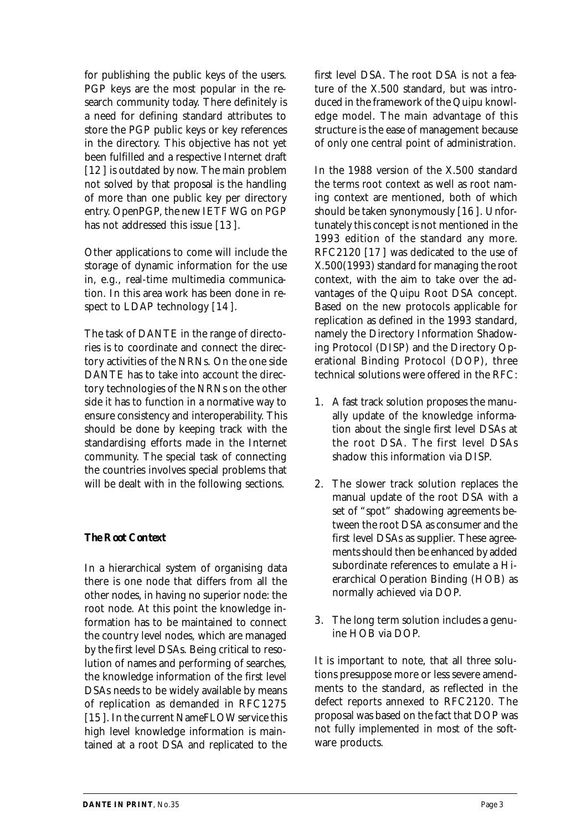for publishing the public keys of the users. PGP keys are the most popular in the research community today. There definitely is a need for defining standard attributes to store the PGP public keys or key references in the directory. This objective has not yet been fulfilled and a respective Internet draft [12] is outdated by now. The main problem not solved by that proposal is the handling of more than one public key per directory entry. OpenPGP, the new IETF WG on PGP has not addressed this issue [13 ].

Other applications to come will include the storage of dynamic information for the use in, e.g., real-time multimedia communication. In this area work has been done in respect to LDAP technology [14].

The task of DANTE in the range of directories is to coordinate and connect the directory activities of the NRNs. On the one side DANTE has to take into account the directory technologies of the NRNs on the other side it has to function in a normative way to ensure consistency and interoperability. This should be done by keeping track with the standardising efforts made in the Internet community. The special task of connecting the countries involves special problems that will be dealt with in the following sections.

## *The Root Context*

In a hierarchical system of organising data there is one node that differs from all the other nodes, in having no superior node: the root node. At this point the knowledge information has to be maintained to connect the country level nodes, which are managed by the first level DSAs. Being critical to resolution of names and performing of searches, the knowledge information of the first level DSAs needs to be widely available by means of replication as demanded in RFC1275 [15 ]. In the current NameFLOW service this high level knowledge information is maintained at a root DSA and replicated to the

first level DSA. The root DSA is not a feature of the X.500 standard, but was introduced in the framework of the Quipu knowledge model. The main advantage of this structure is the ease of management because of only one central point of administration.

In the 1988 version of the X.500 standard the terms root context as well as root naming context are mentioned, both of which should be taken synonymously [16 ]. Unfortunately this concept is not mentioned in the 1993 edition of the standard any more. RFC2120 [17 ] was dedicated to the use of X.500(1993) standard for managing the root context, with the aim to take over the advantages of the Quipu Root DSA concept. Based on the new protocols applicable for replication as defined in the 1993 standard, namely the Directory Information Shadowing Protocol (DISP) and the Directory Operational Binding Protocol (DOP), three technical solutions were offered in the RFC:

- 1. A fast track solution proposes the manually update of the knowledge information about the single first level DSAs at the root DSA. The first level DSAs shadow this information via DISP.
- 2. The slower track solution replaces the manual update of the root DSA with a set of "spot" shadowing agreements between the root DSA as consumer and the first level DSAs as supplier. These agreements should then be enhanced by added subordinate references to emulate a Hierarchical Operation Binding (HOB) as normally achieved via DOP.
- 3. The long term solution includes a genuine HOB via DOP.

It is important to note, that all three solutions presuppose more or less severe amendments to the standard, as reflected in the defect reports annexed to RFC2120. The proposal was based on the fact that DOP was not fully implemented in most of the software products.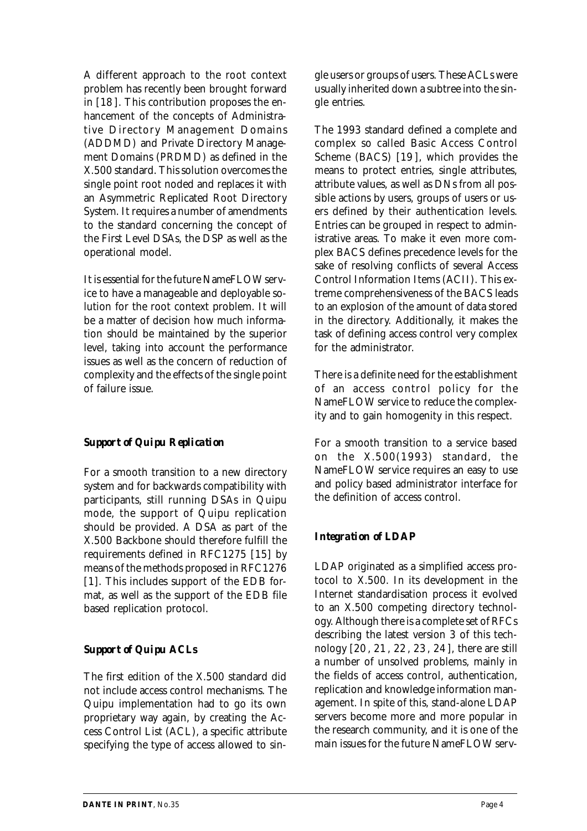A different approach to the root context problem has recently been brought forward in [18 ]. This contribution proposes the enhancement of the concepts of Administrative Directory Management Domains (ADDMD) and Private Directory Management Domains (PRDMD) as defined in the X.500 standard. This solution overcomes the single point root noded and replaces it with an Asymmetric Replicated Root Directory System. It requires a number of amendments to the standard concerning the concept of the First Level DSAs, the DSP as well as the operational model.

It is essential for the future NameFLOW service to have a manageable and deployable solution for the root context problem. It will be a matter of decision how much information should be maintained by the superior level, taking into account the performance issues as well as the concern of reduction of complexity and the effects of the single point of failure issue.

## *Support of Quipu Replication*

For a smooth transition to a new directory system and for backwards compatibility with participants, still running DSAs in Quipu mode, the support of Quipu replication should be provided. A DSA as part of the X.500 Backbone should therefore fulfill the requirements defined in RFC1275 [15] by means of the methods proposed in RFC1276 [1]. This includes support of the EDB format, as well as the support of the EDB file based replication protocol.

## *Support of Quipu ACLs*

The first edition of the X.500 standard did not include access control mechanisms. The Quipu implementation had to go its own proprietary way again, by creating the Access Control List (ACL), a specific attribute specifying the type of access allowed to single users or groups of users. These ACLs were usually inherited down a subtree into the single entries.

The 1993 standard defined a complete and complex so called Basic Access Control Scheme (BACS) [19 ], which provides the means to protect entries, single attributes, attribute values, as well as DNs from all possible actions by users, groups of users or users defined by their authentication levels. Entries can be grouped in respect to administrative areas. To make it even more complex BACS defines precedence levels for the sake of resolving conflicts of several Access Control Information Items (ACII). This extreme comprehensiveness of the BACS leads to an explosion of the amount of data stored in the directory. Additionally, it makes the task of defining access control very complex for the administrator.

There is a definite need for the establishment of an access control policy for the NameFLOW service to reduce the complexity and to gain homogenity in this respect.

For a smooth transition to a service based on the X.500(1993) standard, the NameFLOW service requires an easy to use and policy based administrator interface for the definition of access control.

# *Integration of LDAP*

LDAP originated as a simplified access protocol to X.500. In its development in the Internet standardisation process it evolved to an X.500 competing directory technology. Although there is a complete set of RFCs describing the latest version 3 of this technology [20 , 21 , 22 , 23 , 24 ], there are still a number of unsolved problems, mainly in the fields of access control, authentication, replication and knowledge information management. In spite of this, stand-alone LDAP servers become more and more popular in the research community, and it is one of the main issues for the future NameFLOW serv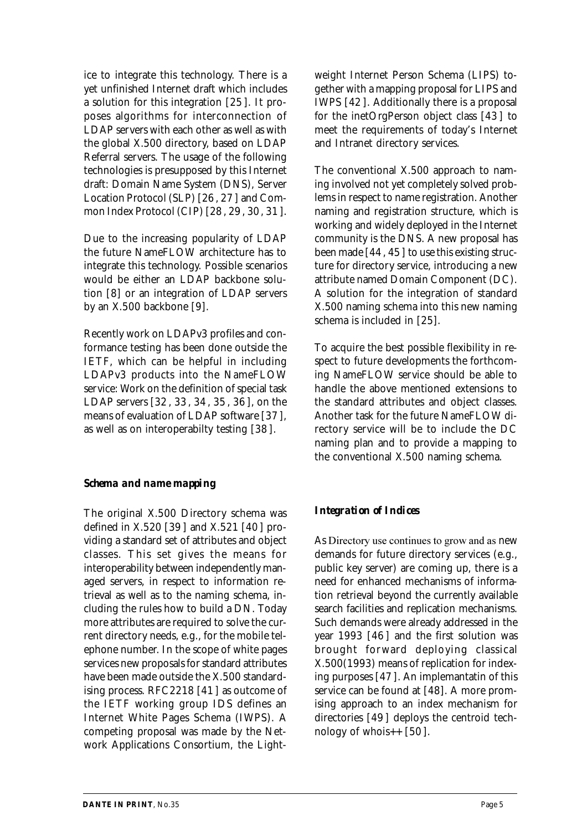ice to integrate this technology. There is a yet unfinished Internet draft which includes a solution for this integration [25 ]. It proposes algorithms for interconnection of LDAP servers with each other as well as with the global X.500 directory, based on LDAP Referral servers. The usage of the following technologies is presupposed by this Internet draft: Domain Name System (DNS), Server Location Protocol (SLP) [26 , 27 ] and Common Index Protocol (CIP) [28 , 29 , 30, 31 ].

Due to the increasing popularity of LDAP the future NameFLOW architecture has to integrate this technology. Possible scenarios would be either an LDAP backbone solution [8] or an integration of LDAP servers by an X.500 backbone [9].

Recently work on LDAPv3 profiles and conformance testing has been done outside the IETF, which can be helpful in including LDAPv3 products into the NameFLOW service: Work on the definition of special task LDAP servers [32 , 33 , 34 , 35 , 36 ], on the means of evaluation of LDAP software [37 ], as well as on interoperabilty testing [38 ].

## *Schema and name mapping*

The original X.500 Directory schema was defined in X.520 [39 ] and X.521 [40 ] providing a standard set of attributes and object classes. This set gives the means for interoperability between independently managed servers, in respect to information retrieval as well as to the naming schema, including the rules how to build a DN. Today more attributes are required to solve the current directory needs, e.g., for the mobile telephone number. In the scope of white pages services new proposals for standard attributes have been made outside the X.500 standardising process. RFC2218 [41 ] as outcome of the IETF working group IDS defines an Internet White Pages Schema (IWPS). A competing proposal was made by the Network Applications Consortium, the Lightweight Internet Person Schema (LIPS) together with a mapping proposal for LIPS and IWPS [42 ]. Additionally there is a proposal for the inetOrgPerson object class [43 ] to meet the requirements of today's Internet and Intranet directory services.

The conventional X.500 approach to naming involved not yet completely solved problems in respect to name registration. Another naming and registration structure, which is working and widely deployed in the Internet community is the DNS. A new proposal has been made [44 , 45] to use this existing structure for directory service, introducing a new attribute named Domain Component (DC). A solution for the integration of standard X.500 naming schema into this new naming schema is included in [25].

To acquire the best possible flexibility in respect to future developments the forthcoming NameFLOW service should be able to handle the above mentioned extensions to the standard attributes and object classes. Another task for the future NameFLOW directory service will be to include the DC naming plan and to provide a mapping to the conventional X.500 naming schema.

## *Integration of Indices*

As Directory use continues to grow and as new demands for future directory services (e.g., public key server) are coming up, there is a need for enhanced mechanisms of information retrieval beyond the currently available search facilities and replication mechanisms. Such demands were already addressed in the year 1993 [46 ] and the first solution was brought forward deploying classical X.500(1993) means of replication for indexing purposes [47 ]. An implemantatin of this service can be found at [48]. A more promising approach to an index mechanism for directories [49 ] deploys the centroid technology of whois $++$  [50].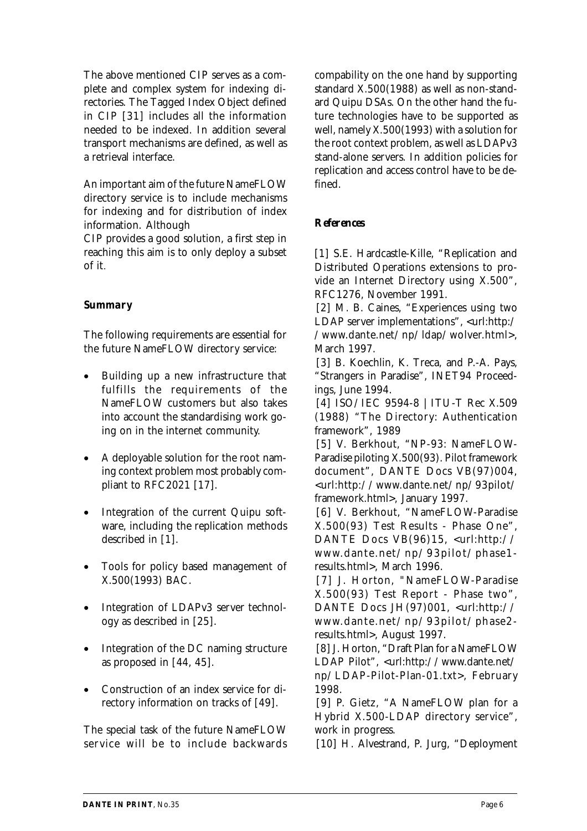The above mentioned CIP serves as a complete and complex system for indexing directories. The Tagged Index Object defined in CIP [31] includes all the information needed to be indexed. In addition several transport mechanisms are defined, as well as a retrieval interface.

An important aim of the future NameFLOW directory service is to include mechanisms for indexing and for distribution of index information. Although

CIP provides a good solution, a first step in reaching this aim is to only deploy a subset of it.

## *Summary*

The following requirements are essential for the future NameFLOW directory service:

- Building up a new infrastructure that fulfills the requirements of the NameFLOW customers but also takes into account the standardising work going on in the internet community.
- · A deployable solution for the root naming context problem most probably compliant to RFC2021 [17].
- Integration of the current Quipu software, including the replication methods described in [1].
- · Tools for policy based management of X.500(1993) BAC.
- Integration of LDAPv3 server technology as described in [25].
- · Integration of the DC naming structure as proposed in [44, 45].
- Construction of an index service for directory information on tracks of [49].

The special task of the future NameFLOW service will be to include backwards

compability on the one hand by supporting standard X.500(1988) as well as non-standard Quipu DSAs. On the other hand the future technologies have to be supported as well, namely X.500(1993) with a solution for the root context problem, as well as LDAPv3 stand-alone servers. In addition policies for replication and access control have to be defined.

## *References*

[1] S.E. Hardcastle-Kille, "Replication and Distributed Operations extensions to provide an Internet Directory using X.500", RFC1276, November 1991.

[2] M. B. Caines, "Experiences using two LDAP server implementations", <url:http:/ /www.dante.net/np/ldap/wolver.html>, March 1997.

[3] B. Koechlin, K. Treca, and P.-A. Pays, "Strangers in Paradise", INET94 Proceedings, June 1994.

[4] ISO/IEC 9594-8 | ITU-T Rec X.509 (1988) "The Directory: Authentication framework", 1989

[5] V. Berkhout, "NP-93: NameFLOW-Paradise piloting X.500(93). Pilot framework document", DANTE Docs VB(97)004, <url:http://www.dante.net/np/93pilot/ framework.html>, January 1997.

[6] V. Berkhout, "NameFLOW-Paradise X.500(93) Test Results - Phase One", DANTE Docs VB(96)15, <url:http:// www.dante.net/np/93pilot/phase1 results.html>, March 1996.

[7] J. Horton, "NameFLOW-Paradise X.500(93) Test Report - Phase two", DANTE Docs JH(97)001, <url:http:// www.dante.net/np/93pilot/phase2 results.html>, August 1997.

[8] J. Horton, "Draft Plan for a NameFLOW LDAP Pilot", <url:http://www.dante.net/ np/LDAP-Pilot-Plan-01.txt>, February 1998.

[9] P. Gietz, "A NameFLOW plan for a Hybrid X.500-LDAP directory service", work in progress.

[10] H. Alvestrand, P. Jurg, "Deployment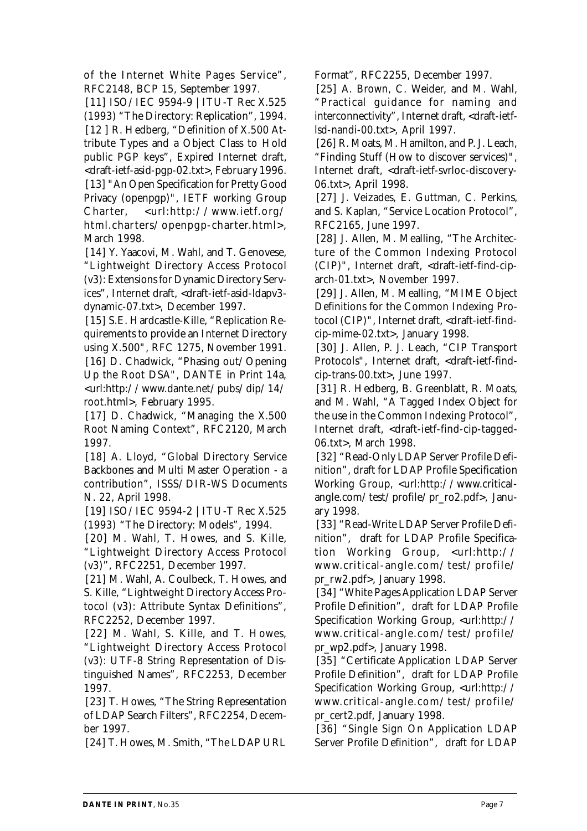of the Internet White Pages Service", RFC2148, BCP 15, September 1997.

[11] ISO/IEC 9594-9 | ITU-T Rec X.525 (1993) "The Directory: Replication", 1994. [12 ] R. Hedberg, "Definition of X.500 Attribute Types and a Object Class to Hold public PGP keys", Expired Internet draft, <draft-ietf-asid-pgp-02.txt>, February 1996. [13] "An Open Specification for Pretty Good Privacy (openpgp)", IETF working Group Charter, <url:http://www.ietf.org/ html.charters/openpgp-charter.html>, March 1998.

[14] Y. Yaacovi, M. Wahl, and T. Genovese, "Lightweight Directory Access Protocol (v3): Extensions for Dynamic Directory Services", Internet draft, <draft-ietf-asid-ldapv3 dynamic-07.txt>, December 1997.

[15] S.E. Hardcastle-Kille, "Replication Requirements to provide an Internet Directory using X.500", RFC 1275, November 1991. [16] D. Chadwick, "Phasing out/Opening Up the Root DSA", DANTE in Print 14a, <url:http://www.dante.net/pubs/dip/14/ root.html>, February 1995.

[17] D. Chadwick, "Managing the X.500 Root Naming Context", RFC2120, March 1997.

[18] A. Lloyd, "Global Directory Service Backbones and Multi Master Operation - a contribution", ISSS/DIR-WS Documents N. 22, April 1998.

[19] ISO/IEC 9594-2 | ITU-T Rec X.525 (1993) "The Directory: Models", 1994.

[20] M. Wahl, T. Howes, and S. Kille, "Lightweight Directory Access Protocol (v3)", RFC2251, December 1997.

[21] M. Wahl, A. Coulbeck, T. Howes, and S. Kille, "Lightweight Directory Access Protocol (v3): Attribute Syntax Definitions", RFC2252, December 1997.

[22] M. Wahl, S. Kille, and T. Howes, "Lightweight Directory Access Protocol (v3): UTF-8 String Representation of Distinguished Names", RFC2253, December 1997.

[23] T. Howes, "The String Representation of LDAP Search Filters", RFC2254, December 1997.

[24] T. Howes, M. Smith, "The LDAP URL

Format", RFC2255, December 1997.

[25] A. Brown, C. Weider, and M. Wahl, "Practical guidance for naming and interconnectivity", Internet draft, <draft-ietflsd-nandi-00.txt>, April 1997.

[26] R. Moats, M. Hamilton, and P. J. Leach, "Finding Stuff (How to discover services)", Internet draft, <draft-ietf-svrloc-discovery-06.txt>, April 1998.

[27] J. Veizades, E. Guttman, C. Perkins, and S. Kaplan, "Service Location Protocol", RFC2165, June 1997.

[28] J. Allen, M. Mealling, "The Architecture of the Common Indexing Protocol (CIP)", Internet draft, <draft-ietf-find-ciparch-01.txt>, November 1997.

[29] J. Allen, M. Mealling, "MIME Object Definitions for the Common Indexing Protocol (CIP)", Internet draft, <draft-ietf-findcip-mime-02.txt>, January 1998.

[30] J. Allen, P. J. Leach, "CIP Transport Protocols", Internet draft, <draft-ietf-findcip-trans-00.txt>, June 1997.

[31] R. Hedberg, B. Greenblatt, R. Moats, and M. Wahl, "A Tagged Index Object for the use in the Common Indexing Protocol", Internet draft, <draft-ietf-find-cip-tagged-06.txt>, March 1998.

[32] "Read-Only LDAP Server Profile Definition", draft for LDAP Profile Specification Working Group, <url:http://www.criticalangle.com/test/profile/pr\_ro2.pdf>, January 1998.

[33] "Read-Write LDAP Server Profile Definition", draft for LDAP Profile Specification Working Group, <url:http:// www.critical-angle.com/test/profile/ pr\_rw2.pdf>, January 1998.

[34] "White Pages Application LDAP Server Profile Definition", draft for LDAP Profile Specification Working Group, <url:http:// www.critical-angle.com/test/profile/ pr\_wp2.pdf>, January 1998.

[35] "Certificate Application LDAP Server Profile Definition", draft for LDAP Profile Specification Working Group, <url:http:// www.critical-angle.com/test/profile/ pr\_cert2.pdf, January 1998.

[36] "Single Sign On Application LDAP Server Profile Definition", draft for LDAP